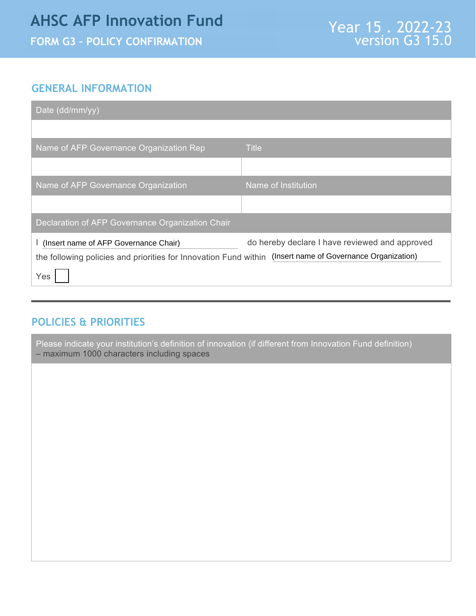## **AHSC AFP Innovation Fund**

**FORM G3 – POLICY CONFIRMATION**

## **GENERAL INFORMATION**

| Date (dd/mm/yy)                                                                                                                                             |                                                |
|-------------------------------------------------------------------------------------------------------------------------------------------------------------|------------------------------------------------|
|                                                                                                                                                             |                                                |
| Name of AFP Governance Organization Rep                                                                                                                     | <b>Title</b>                                   |
|                                                                                                                                                             |                                                |
| Name of AFP Governance Organization                                                                                                                         | Name of Institution                            |
|                                                                                                                                                             |                                                |
| <b>Declaration of AFP Governance Organization Chair</b>                                                                                                     |                                                |
| I (Insert name of AFP Governance Chair)<br>the following policies and priorities for Innovation Fund within (Insert name of Governance Organization)<br>Yes | do hereby declare I have reviewed and approved |

## **POLICIES & PRIORITIES**

Please indicate your institution's definition of innovation (if different from Innovation Fund definition) – maximum 1000 characters including spaces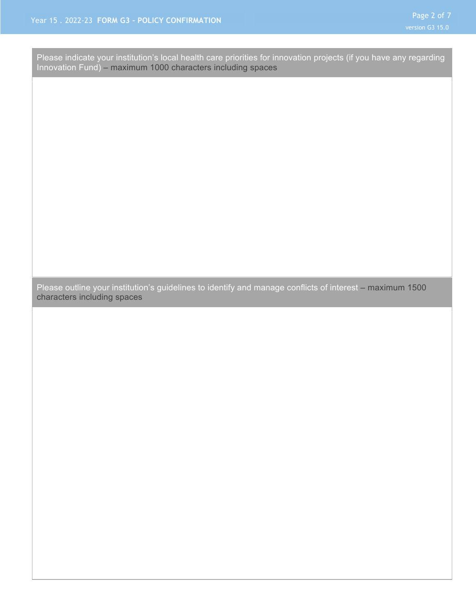Please indicate your institution's local health care priorities for innovation projects (if you have any regarding Innovation Fund) – maximum 1000 characters including spaces

Please outline your institution's guidelines to identify and manage conflicts of interest – maximum 1500 characters including spaces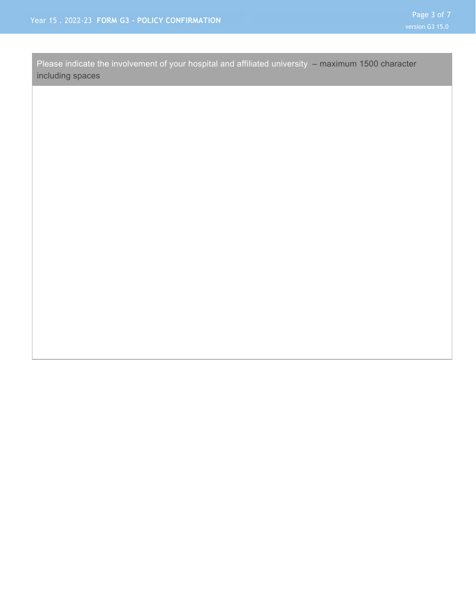Please indicate the involvement of your hospital and affiliated university – maximum 1500 character including spaces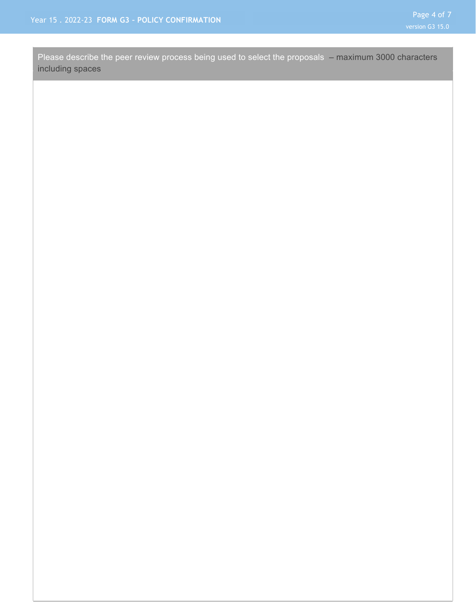Please describe the peer review process being used to select the proposals – maximum 3000 characters including spaces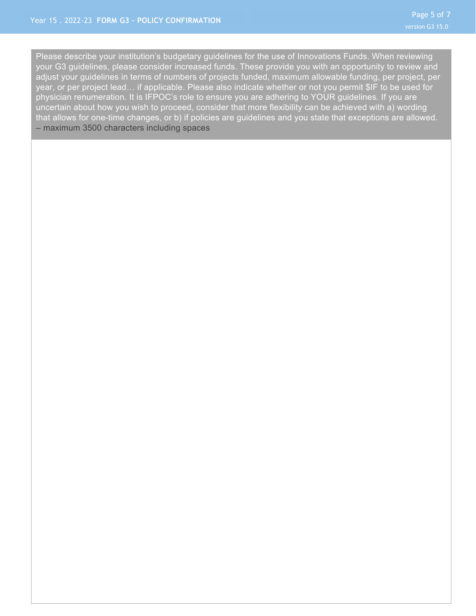Please describe your institution's budgetary guidelines for the use of Innovations Funds. When reviewing your G3 guidelines, please consider increased funds. These provide you with an opportunity to review and adjust your guidelines in terms of numbers of projects funded, maximum allowable funding, per project, per year, or per project lead… if applicable. Please also indicate whether or not you permit \$IF to be used for physician renumeration. It is IFPOC's role to ensure you are adhering to YOUR guidelines. If you are uncertain about how you wish to proceed, consider that more flexibility can be achieved with a) wording that allows for one-time changes, or b) if policies are guidelines and you state that exceptions are allowed. – maximum 3500 characters including spaces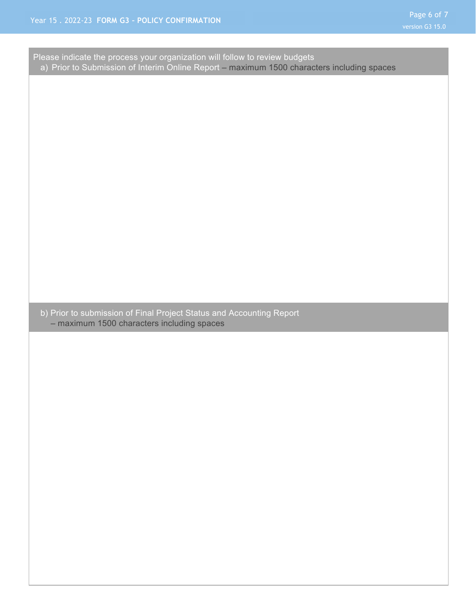| Please indicate the process your organization will follow to review budgets                                        | a) Prior to Submission of Interim Online Report - maximum 1500 characters including spaces |  |
|--------------------------------------------------------------------------------------------------------------------|--------------------------------------------------------------------------------------------|--|
|                                                                                                                    |                                                                                            |  |
|                                                                                                                    |                                                                                            |  |
|                                                                                                                    |                                                                                            |  |
|                                                                                                                    |                                                                                            |  |
|                                                                                                                    |                                                                                            |  |
|                                                                                                                    |                                                                                            |  |
|                                                                                                                    |                                                                                            |  |
|                                                                                                                    |                                                                                            |  |
|                                                                                                                    |                                                                                            |  |
|                                                                                                                    |                                                                                            |  |
|                                                                                                                    |                                                                                            |  |
|                                                                                                                    |                                                                                            |  |
| b) Prior to submission of Final Project Status and Accounting Report<br>- maximum 1500 characters including spaces |                                                                                            |  |
|                                                                                                                    |                                                                                            |  |
|                                                                                                                    |                                                                                            |  |
|                                                                                                                    |                                                                                            |  |
|                                                                                                                    |                                                                                            |  |
|                                                                                                                    |                                                                                            |  |
|                                                                                                                    |                                                                                            |  |
|                                                                                                                    |                                                                                            |  |
|                                                                                                                    |                                                                                            |  |
|                                                                                                                    |                                                                                            |  |
|                                                                                                                    |                                                                                            |  |